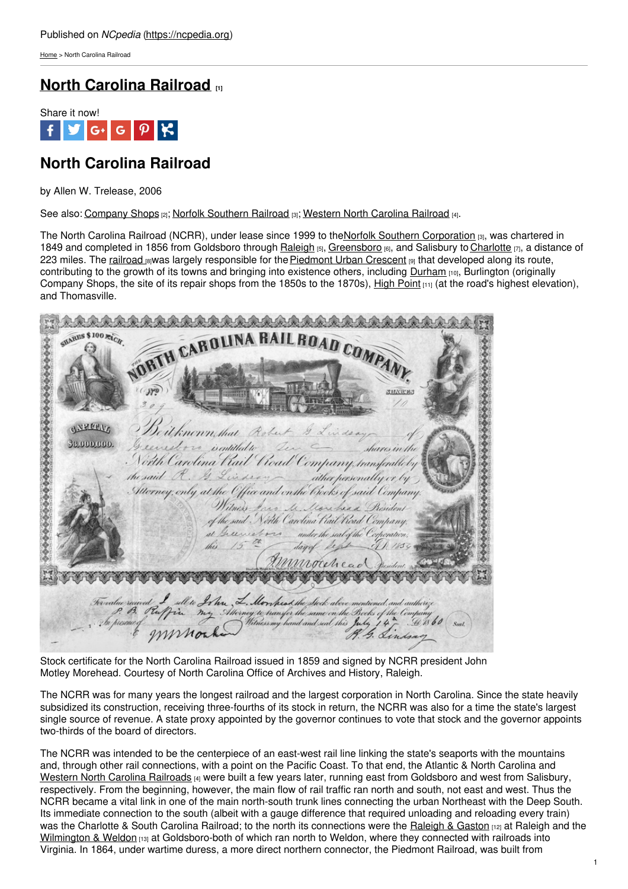[Home](https://ncpedia.org/) > North Carolina Railroad

## **North [Carolina](https://ncpedia.org/north-carolina-railroad) Railroad [1]**



# **North Carolina Railroad**

by Allen W. Trelease, 2006

See also: [Company](https://ncpedia.org/company-shops) Shops [2]; Norfolk [Southern](https://ncpedia.org/norfolk-southern-railroad) Railroad [3]; [Western](https://ncpedia.org/western-north-carolina-railroad) North Carolina Railroad [4].

The North Carolina Railroad (NCRR), under lease since 1999 to the Norfolk Southern [Corporation](https://ncpedia.org/norfolk-southern-railroad) [3], was chartered in 1849 and completed in 1856 from Goldsboro through [Raleigh](https://ncpedia.org/geography/raleigh) [5], [Greensboro](https://ncpedia.org/greensboro-0) [6], and Salisbury to [Charlotte](https://ncpedia.org/geography/charlotte) [7], a distance of 223 miles. The [railroad](https://ncpedia.org/railroads) [8] was largely responsible for the [Piedmont](https://ncpedia.org/piedmont-urban-crescent) Urban Crescent [9] that developed along its route, contributing to the growth of its towns and bringing into existence others, including [Durham](https://ncpedia.org/geography/durham-city) [10], Burlington (originally Company Shops, the site of its repair [shops](http://www.social9.com) from the 1850s to the 1870s), High [Point](https://ncpedia.org/high-point-0)  $[11]$  (at the road's highest elevation), and Thomasville.

| HARES \$100 EACH                                                                                                                                                                                                                     |
|--------------------------------------------------------------------------------------------------------------------------------------------------------------------------------------------------------------------------------------|
|                                                                                                                                                                                                                                      |
| WETH CAROLINA RAILROAD COMPANY                                                                                                                                                                                                       |
| 9756675<br>Deitknown that Robert & Lindsay<br>53.000.000.                                                                                                                                                                            |
| Greenesboro isentitled to Den Communication the<br>North Carolina Kail Road Company transferable by                                                                                                                                  |
| the said R. G. Lindsay ather personally or by<br>Merney, only at the Office and on the Books of said Company.                                                                                                                        |
| Witness Jaco M. Morehead Resident<br>of the said North Carolina Hail Hoad Company.                                                                                                                                                   |
| at Greenesboro under the seal of the Corporation.                                                                                                                                                                                    |
| Munocelead Jusident 200<br>******************************                                                                                                                                                                            |
|                                                                                                                                                                                                                                      |
| Forvalue rained I sell to It has L. Monches the shock above mentioned, and authorize<br>1. B. P. Perffrix my Attorney to transfer the same on the Bocks of the Company<br>1. In presence of WWW Orker Mitnessmy hand and seal this J |
|                                                                                                                                                                                                                                      |

Stock certificate for the North Carolina Railroad issued in 1859 and signed by NCRR president John Motley Morehead. Courtesy of North Carolina Office of Archives and History, Raleigh.

The NCRR was for many years the longest railroad and the largest corporation in North Carolina. Since the state heavily subsidized its construction, receiving three-fourths of its stock in return, the NCRR was also for a time the state's largest single source of revenue. A state proxy appointed by the governor continues to vote that stock and the governor appoints two-thirds of the board of directors.

The NCRR was intended to be the centerpiece of an east-west rail line linking the state's seaports with the mountains and, through other rail connections, with a point on the Pacific Coast. To that end, the Atlantic & North Carolina and Western North Carolina [Railroads](https://ncpedia.org/western-north-carolina-railroad) [4] were built a few years later, running east from Goldsboro and west from Salisbury, respectively. From the beginning, however, the main flow of rail traffic ran north and south, not east and west. Thus the NCRR became a vital link in one of the main north-south trunk lines connecting the urban Northeast with the Deep South. Its immediate connection to the south (albeit with a gauge difference that required unloading and reloading every train) was the Charlotte & South Carolina Railroad; to the north its connections were the [Raleigh](http://www.raleighpublicrecord.org/featured/2009/03/18/the-raleigh-and-gaston-railroad/) & Gaston [12] at Raleigh and the [Wilmington](https://ncpedia.org/wilmington-weldon-railroad) & Weldon [13] at Goldsboro-both of which ran north to Weldon, where they connected with railroads into Virginia. In 1864, under wartime duress, a more direct northern connector, the Piedmont Railroad, was built from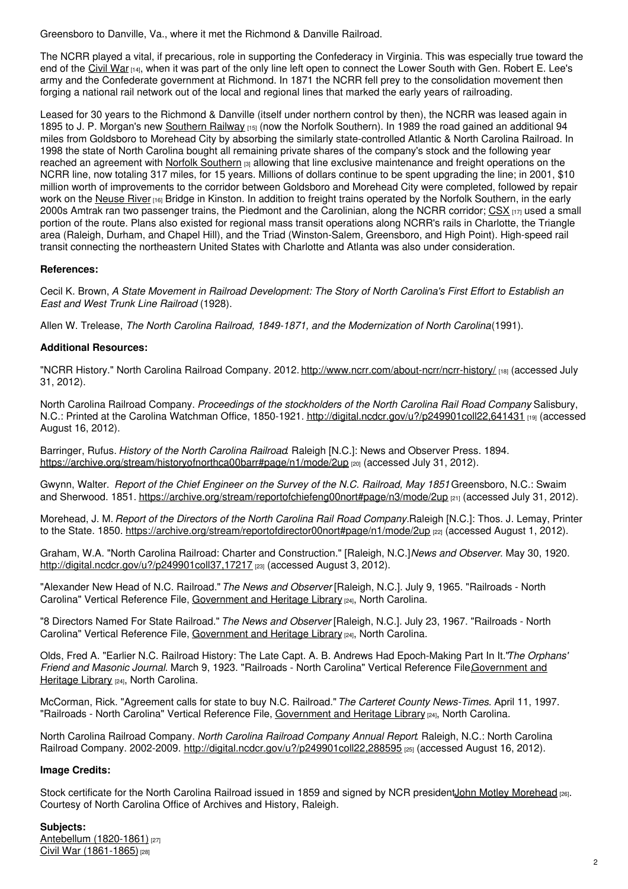Greensboro to Danville, Va., where it met the Richmond & Danville Railroad.

The NCRR played a vital, if precarious, role in supporting the Confederacy in Virginia. This was especially true toward the end of the [Civil](https://ncpedia.org/history/cw-1900/civil-war) War [14], when it was part of the only line left open to connect the Lower South with Gen. Robert E. Lee's army and the Confederate government at Richmond. In 1871 the NCRR fell prey to the consolidation movement then forging a national rail network out of the local and regional lines that marked the early years of railroading.

Leased for 30 years to the Richmond & Danville (itself under northern control by then), the NCRR was leased again in 1895 to J. P. Morgan's new [Southern](https://ncpedia.org/southern-railway-system) Railway [15] (now the Norfolk Southern). In 1989 the road gained an additional 94 miles from Goldsboro to Morehead City by absorbing the similarly state-controlled Atlantic & North Carolina Railroad. In 1998 the state of North Carolina bought all remaining private shares of the company's stock and the following year reached an agreement with Norfolk [Southern](https://ncpedia.org/norfolk-southern-railroad)  $_{[3]}$  allowing that line exclusive maintenance and freight operations on the NCRR line, now totaling 317 miles, for 15 years. Millions of dollars continue to be spent upgrading the line; in 2001, \$10 million worth of improvements to the corridor between Goldsboro and Morehead City were completed, followed by repair work on the [Neuse](https://ncpedia.org/rivers/neuse) River [16] Bridge in Kinston. In addition to freight trains operated by the Norfolk Southern, in the early 2000s Amtrak ran two passenger trains, the Piedmont and the Carolinian, along the NCRR corridor; [CSX](https://ncpedia.org/csx-corporation)  $_{[17]}$  used a small portion of the route. Plans also existed for regional mass transit operations along NCRR's rails in Charlotte, the Triangle area (Raleigh, Durham, and Chapel Hill), and the Triad (Winston-Salem, Greensboro, and High Point). High-speed rail transit connecting the northeastern United States with Charlotte and Atlanta was also under consideration.

### **References:**

Cecil K. Brown, A State Movement in Railroad Development: The Story of North Carolina's First Effort to Establish an *East and West Trunk Line Railroad* (1928).

Allen W. Trelease, *The North Carolina Railroad, 1849-1871, and the Modernization of North Carolina*(1991).

### **Additional Resources:**

"NCRR History." North Carolina Railroad Company. 2012. <http://www.ncrr.com/about-ncrr/ncrr-history/> [18] (accessed July 31, 2012).

North Carolina Railroad Company. *Proceedings of the stockholders of the North Carolina Rail Road Company*. Salisbury, N.C.: Printed at the Carolina Watchman Office, 1850-1921. <http://digital.ncdcr.gov/u?/p249901coll22,641431> [19] (accessed August 16, 2012).

Barringer, Rufus. *History of the North Carolina Railroad*. Raleigh [N.C.]: News and Observer Press. 1894. <https://archive.org/stream/historyofnorthca00barr#page/n1/mode/2up> [20] (accessed July 31, 2012).

Gwynn, Walter. *Report of the Chief Engineer on the Survey of the N.C. Railroad, May 1851*. Greensboro, N.C.: Swaim and Sherwood. 1851. <https://archive.org/stream/reportofchiefeng00nort#page/n3/mode/2up> [21] (accessed July 31, 2012).

Morehead, J. M. *Report of the Directors of the North Carolina Rail Road Company.*Raleigh [N.C.]: Thos. J. Lemay, Printer to the State. 1850. <https://archive.org/stream/reportofdirector00nort#page/n1/mode/2up> [22] (accessed August 1, 2012).

Graham, W.A. "North Carolina Railroad: Charter and Construction." [Raleigh, N.C.]*News and Observer*. May 30, 1920. <http://digital.ncdcr.gov/u?/p249901coll37,17217> [23] (accessed August 3, 2012).

"Alexander New Head of N.C. Railroad."*The News and Observer* [Raleigh, N.C.]. July 9, 1965. "Railroads - North Carolina" Vertical Reference File, [Government](https://statelibrary.ncdcr.gov/ghl/index.html) and Heritage Library [24], North Carolina.

"8 Directors Named For State Railroad." *The News and Observer* [Raleigh, N.C.]. July 23, 1967. "Railroads - North Carolina" Vertical Reference File, [Government](https://statelibrary.ncdcr.gov/ghl/index.html) and Heritage Library [24], North Carolina.

Olds, Fred A. "Earlier N.C. Railroad History: The Late Capt. A. B. Andrews Had Epoch-Making Part In It."*The Orphans' Friend and Masonic Journal*. March 9, 1923. "Railroads - North Carolina" Vertical Reference [File,Government](https://statelibrary.ncdcr.gov/ghl/index.html) and Heritage Library [24], North Carolina.

McCorman, Rick. "Agreement calls for state to buy N.C. Railroad."*The Carteret County News-Times*. April 11, 1997. "Railroads - North Carolina" Vertical Reference File, [Government](https://statelibrary.ncdcr.gov/ghl/index.html) and Heritage Library [24], North Carolina.

North Carolina Railroad Company. *North Carolina Railroad Company Annual Report*. Raleigh, N.C.: North Carolina Railroad Company. 2002-2009. <http://digital.ncdcr.gov/u?/p249901coll22,288595> [25] (accessed August 16, 2012).

### **Image Credits:**

Stock certificate for the North Carolina Railroad issued in 1859 and signed by NCR presidentJohn Motley [Morehead](https://ncpedia.org/biography/morehead-john-motley) [26]. Courtesy of North Carolina Office of Archives and History, Raleigh.

### **Subjects:**

Antebellum [\(1820-1861\)](https://ncpedia.org/category/subjects/antebellum-1820-1) [27] Civil War [\(1861-1865\)](https://ncpedia.org/category/subjects/civil-war) [28]